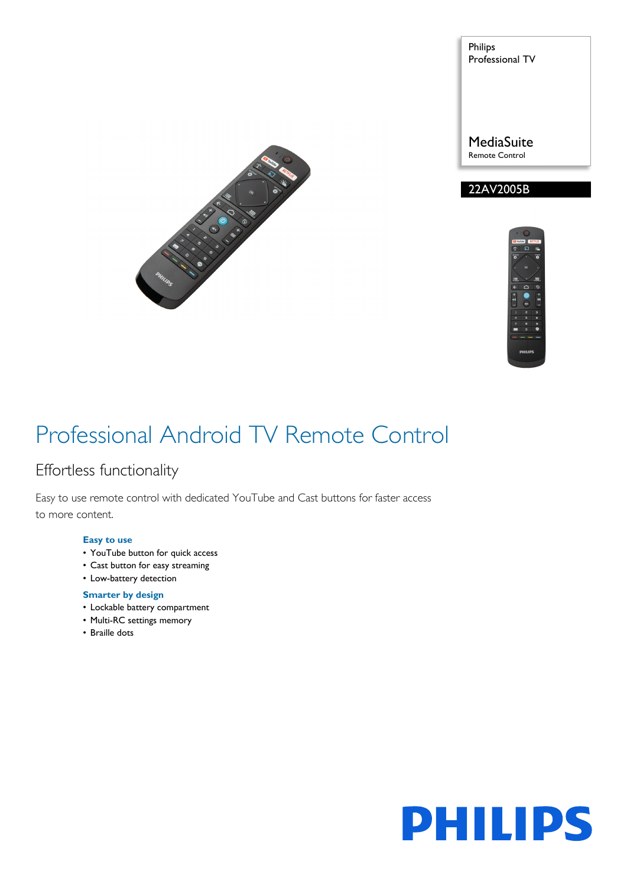

Philips Professional TV

**MediaSuite** Remote Control





### Professional Android TV Remote Control

### Effortless functionality

Easy to use remote control with dedicated YouTube and Cast buttons for faster access to more content.

### **Easy to use**

- YouTube button for quick access
- Cast button for easy streaming
- Low-battery detection

### **Smarter by design**

- Lockable battery compartment
- Multi-RC settings memory
- Braille dots